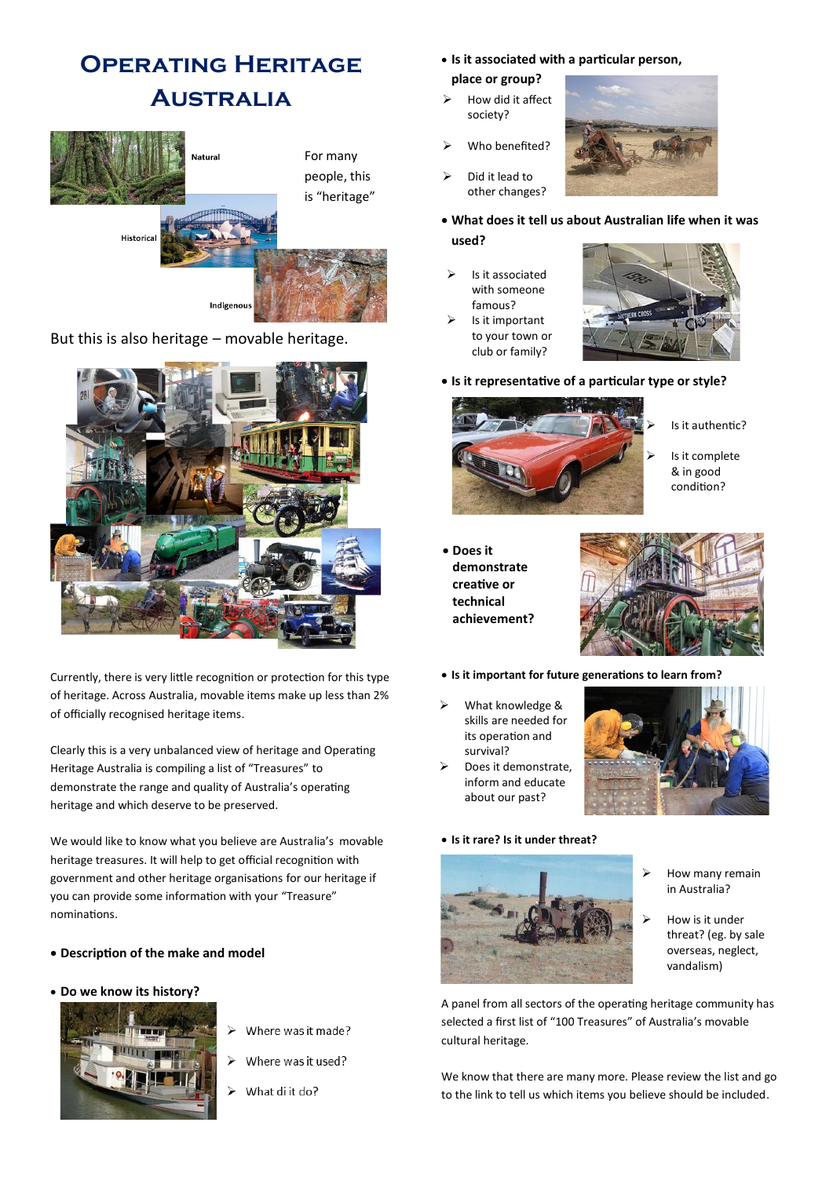# **Operating Heritage Australia**



But this is also heritage – movable heritage.



Currently, there is very little recognition or protection for this type of heritage. Across Australia, movable items make up less than 2% of officially recognised heritage items.

Clearly this is a very unbalanced view of heritage and Operating Heritage Australia is compiling a list of "Treasures" to demonstrate the range and quality of Australia's operating heritage and which deserve to be preserved.

We would like to know what you believe are Australia's movable heritage treasures. It will help to get official recognition with government and other heritage organisations for our heritage if you can provide some information with your "Treasure" nominations.

• **Description of the make and model**

#### • **Do we know its history?**



- Where was it made?
- ۷ Where was it used?
	- What di it do?
- **Is it associated with a particular person, place or group?**
- ➢ How did it affect society?
- Who benefited?
- ➢ Did it lead to other changes?



- **What does it tell us about Australian life when it was used?**
- ➢ Is it associated with someone famous?
- Is it important to your town or club or family?



• **Is it representative of a particular type or style?**



- ➢ Is it authentic?
- ➢ Is it complete & in good condition?

• **Does it demonstrate creative or technical achievement?**



- **Is it important for future generations to learn from?**
- ➢ What knowledge & skills are needed for its operation and survival?
- ➢ Does it demonstrate, inform and educate about our past?

#### • **Is it rare? Is it under threat?**





- How many remain in Australia?
- ➢ How is it under threat? (eg. by sale overseas, neglect, vandalism)

A panel from all sectors of the operating heritage community has selected a first list of "100 Treasures" of Australia's movable cultural heritage.

We know that there are many more. Please review the list and go to the link to tell us which items you believe should be included.